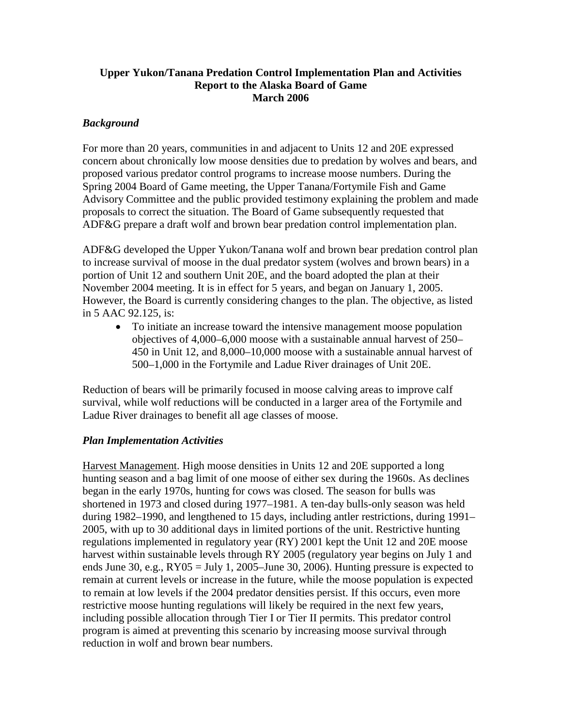### **Upper Yukon/Tanana Predation Control Implementation Plan and Activities Report to the Alaska Board of Game March 2006**

### *Background*

For more than 20 years, communities in and adjacent to Units 12 and 20E expressed concern about chronically low moose densities due to predation by wolves and bears, and proposed various predator control programs to increase moose numbers. During the Spring 2004 Board of Game meeting, the Upper Tanana/Fortymile Fish and Game Advisory Committee and the public provided testimony explaining the problem and made proposals to correct the situation. The Board of Game subsequently requested that ADF&G prepare a draft wolf and brown bear predation control implementation plan.

ADF&G developed the Upper Yukon/Tanana wolf and brown bear predation control plan to increase survival of moose in the dual predator system (wolves and brown bears) in a portion of Unit 12 and southern Unit 20E, and the board adopted the plan at their November 2004 meeting. It is in effect for 5 years, and began on January 1, 2005. However, the Board is currently considering changes to the plan. The objective, as listed in 5 AAC 92.125, is:

• To initiate an increase toward the intensive management moose population objectives of 4,000–6,000 moose with a sustainable annual harvest of 250– 450 in Unit 12, and 8,000–10,000 moose with a sustainable annual harvest of 500–1,000 in the Fortymile and Ladue River drainages of Unit 20E.

Reduction of bears will be primarily focused in moose calving areas to improve calf survival, while wolf reductions will be conducted in a larger area of the Fortymile and Ladue River drainages to benefit all age classes of moose.

#### *Plan Implementation Activities*

Harvest Management. High moose densities in Units 12 and 20E supported a long hunting season and a bag limit of one moose of either sex during the 1960s. As declines began in the early 1970s, hunting for cows was closed. The season for bulls was shortened in 1973 and closed during 1977–1981. A ten-day bulls-only season was held during 1982–1990, and lengthened to 15 days, including antler restrictions, during 1991– 2005, with up to 30 additional days in limited portions of the unit. Restrictive hunting regulations implemented in regulatory year (RY) 2001 kept the Unit 12 and 20E moose harvest within sustainable levels through RY 2005 (regulatory year begins on July 1 and ends June 30, e.g.,  $RY05 = July 1, 2005 - June 30, 2006$ . Hunting pressure is expected to remain at current levels or increase in the future, while the moose population is expected to remain at low levels if the 2004 predator densities persist. If this occurs, even more restrictive moose hunting regulations will likely be required in the next few years, including possible allocation through Tier I or Tier II permits. This predator control program is aimed at preventing this scenario by increasing moose survival through reduction in wolf and brown bear numbers.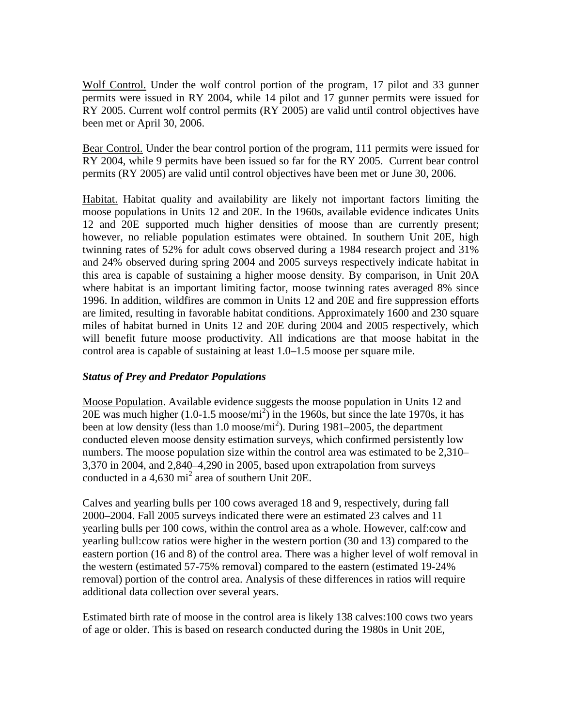Wolf Control. Under the wolf control portion of the program, 17 pilot and 33 gunner permits were issued in RY 2004, while 14 pilot and 17 gunner permits were issued for RY 2005. Current wolf control permits (RY 2005) are valid until control objectives have been met or April 30, 2006.

Bear Control. Under the bear control portion of the program, 111 permits were issued for RY 2004, while 9 permits have been issued so far for the RY 2005. Current bear control permits (RY 2005) are valid until control objectives have been met or June 30, 2006.

Habitat. Habitat quality and availability are likely not important factors limiting the moose populations in Units 12 and 20E. In the 1960s, available evidence indicates Units 12 and 20E supported much higher densities of moose than are currently present; however, no reliable population estimates were obtained. In southern Unit 20E, high twinning rates of 52% for adult cows observed during a 1984 research project and 31% and 24% observed during spring 2004 and 2005 surveys respectively indicate habitat in this area is capable of sustaining a higher moose density. By comparison, in Unit 20A where habitat is an important limiting factor, moose twinning rates averaged 8% since 1996. In addition, wildfires are common in Units 12 and 20E and fire suppression efforts are limited, resulting in favorable habitat conditions. Approximately 1600 and 230 square miles of habitat burned in Units 12 and 20E during 2004 and 2005 respectively, which will benefit future moose productivity. All indications are that moose habitat in the control area is capable of sustaining at least 1.0–1.5 moose per square mile.

# *Status of Prey and Predator Populations*

Moose Population. Available evidence suggests the moose population in Units 12 and 20E was much higher  $(1.0-1.5 \text{ moose/mi}^2)$  in the 1960s, but since the late 1970s, it has been at low density (less than 1.0 moose/mi<sup>2</sup>). During 1981–2005, the department conducted eleven moose density estimation surveys, which confirmed persistently low numbers. The moose population size within the control area was estimated to be 2,310– 3,370 in 2004, and 2,840–4,290 in 2005, based upon extrapolation from surveys conducted in a  $4,630$  mi<sup>2</sup> area of southern Unit 20E.

Calves and yearling bulls per 100 cows averaged 18 and 9, respectively, during fall 2000–2004. Fall 2005 surveys indicated there were an estimated 23 calves and 11 yearling bulls per 100 cows, within the control area as a whole. However, calf:cow and yearling bull:cow ratios were higher in the western portion (30 and 13) compared to the eastern portion (16 and 8) of the control area. There was a higher level of wolf removal in the western (estimated 57-75% removal) compared to the eastern (estimated 19-24% removal) portion of the control area. Analysis of these differences in ratios will require additional data collection over several years.

Estimated birth rate of moose in the control area is likely 138 calves:100 cows two years of age or older. This is based on research conducted during the 1980s in Unit 20E,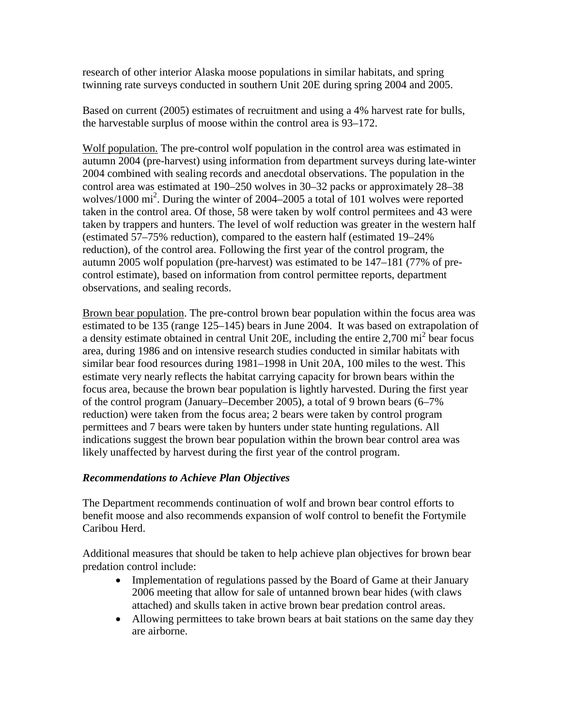research of other interior Alaska moose populations in similar habitats, and spring twinning rate surveys conducted in southern Unit 20E during spring 2004 and 2005.

Based on current (2005) estimates of recruitment and using a 4% harvest rate for bulls, the harvestable surplus of moose within the control area is 93–172.

Wolf population. The pre-control wolf population in the control area was estimated in autumn 2004 (pre-harvest) using information from department surveys during late-winter 2004 combined with sealing records and anecdotal observations. The population in the control area was estimated at 190–250 wolves in 30–32 packs or approximately 28–38 wolves/1000 mi<sup>2</sup>. During the winter of 2004–2005 a total of 101 wolves were reported taken in the control area. Of those, 58 were taken by wolf control permitees and 43 were taken by trappers and hunters. The level of wolf reduction was greater in the western half (estimated 57–75% reduction), compared to the eastern half (estimated 19–24% reduction), of the control area. Following the first year of the control program, the autumn 2005 wolf population (pre-harvest) was estimated to be 147–181 (77% of precontrol estimate), based on information from control permittee reports, department observations, and sealing records.

Brown bear population. The pre-control brown bear population within the focus area was estimated to be 135 (range 125–145) bears in June 2004. It was based on extrapolation of a density estimate obtained in central Unit 20E, including the entire  $2,700$  mi<sup>2</sup> bear focus area, during 1986 and on intensive research studies conducted in similar habitats with similar bear food resources during 1981–1998 in Unit 20A, 100 miles to the west. This estimate very nearly reflects the habitat carrying capacity for brown bears within the focus area, because the brown bear population is lightly harvested. During the first year of the control program (January–December 2005), a total of 9 brown bears (6–7% reduction) were taken from the focus area; 2 bears were taken by control program permittees and 7 bears were taken by hunters under state hunting regulations. All indications suggest the brown bear population within the brown bear control area was likely unaffected by harvest during the first year of the control program.

# *Recommendations to Achieve Plan Objectives*

The Department recommends continuation of wolf and brown bear control efforts to benefit moose and also recommends expansion of wolf control to benefit the Fortymile Caribou Herd.

Additional measures that should be taken to help achieve plan objectives for brown bear predation control include:

- Implementation of regulations passed by the Board of Game at their January 2006 meeting that allow for sale of untanned brown bear hides (with claws attached) and skulls taken in active brown bear predation control areas.
- Allowing permittees to take brown bears at bait stations on the same day they are airborne.